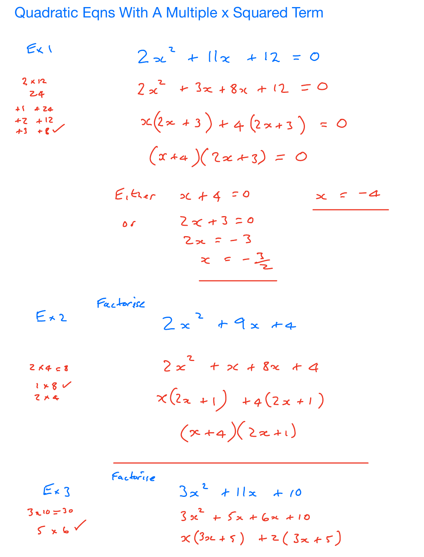Quadratic Eqns With A Multiple x Squared Term

$$
E_{x}1
$$
  
\n
$$
2x^{2} + 11x + 12 = 0
$$
  
\n
$$
2x^{2} + 3x + 8x + 12 = 0
$$
  
\n
$$
x^{2} + 12
$$
  
\n
$$
x^{2} + 12
$$
  
\n
$$
x^{2} + 12
$$
  
\n
$$
x^{2} + 12
$$
  
\n
$$
x^{2} + 12 = 0
$$
  
\n
$$
x^{2} + 12 = 0
$$
  
\n
$$
x^{2} + 12 = 0
$$
  
\n
$$
x^{2} + 12 = 0
$$
  
\n
$$
x^{2} + 12 = 0
$$
  
\n
$$
x^{2} + 12 = 0
$$
  
\n
$$
x^{2} + 12 = 0
$$
  
\n
$$
x^{2} + 12 = 0
$$
  
\n
$$
x^{2} + 12 = 0
$$
  
\n
$$
x^{2} + 12 = 0
$$
  
\n
$$
x^{2} + 12 = 0
$$
  
\n
$$
x^{2} + 12 = 0
$$
  
\n
$$
x^{2} + 12 = 0
$$
  
\n
$$
x^{2} + 12 = 0
$$
  
\n
$$
x^{2} + 12 = 0
$$
  
\n
$$
x^{2} + 12 = 0
$$
  
\n
$$
x^{2} + 12 = 0
$$
  
\n
$$
x^{2} + 12 = 0
$$
  
\n
$$
x^{2} + 12 = 0
$$
  
\n
$$
x^{2} + 12 = 0
$$
  
\n
$$
x^{2} + 12 = 0
$$
  
\n
$$
x^{2} + 12 = 0
$$
  
\n
$$
x^{2} + 12 = 0
$$
  
\n
$$
x^{2} + 12 = 0
$$
  
\n
$$
x^{2} + 12 = 0
$$
  
\n
$$
x^{2} + 12 = 0
$$
  
\n
$$
x^{2
$$

Factorye  $3x^{2}$  + 11x + 10  $E \times 3$  $3010 = 30$  $3x^{2} + 5x + 6x + 10$  $5\times6$  $x(3x+5) + z(3x+5)$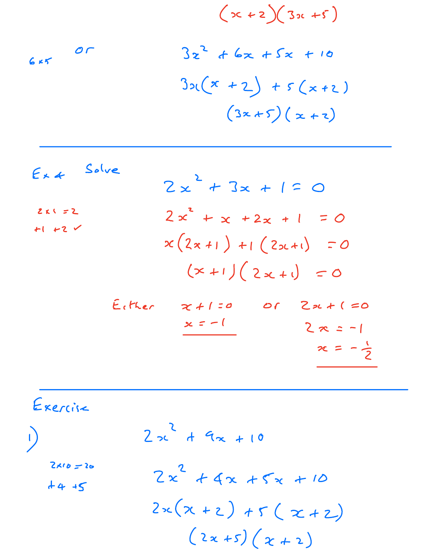$$
(x+2)(3x+5)
$$
  
\n $6x5$   
\n $3x^{2} + 6x + 5x + 10$   
\n $3x(x + 2) + 5(x + 2)$   
\n $(3x+5)(x+2)$ 

| $Ex4$ Solve                 | $2x^{2} + 3x + 1 = 0$                                                                                 |  |
|-----------------------------|-------------------------------------------------------------------------------------------------------|--|
| $2KI = 2$<br>$+1$ +2 $\vee$ | $2x^{2} + x + 2x + 1 = 0$<br>$x(2x+1) + 1(2x+1) = 0$<br>$(x+1)(2x+1) = 0$                             |  |
| Either                      | $2x + (50$<br>$x + 1 = 0$<br>$\mathcal{O} \mathcal{L}$<br>$x = -1$<br>$2x = -1$<br>$x = -\frac{1}{2}$ |  |

Exercise  $2x^{2} + 9x + 10$  $\bigcup$  $2x10 = 20$  $2x^{2} + 4x + 5x + 10$  $44.45$  $2x(x + 2) + 5(x + 2)$  $(2x+5)(x+2)$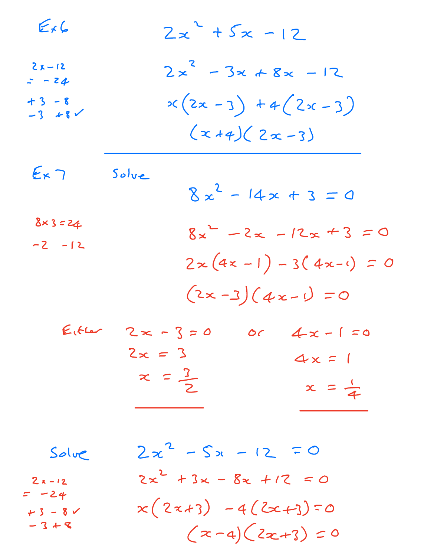| $E_f G$                                     |       | $2x^{2} + 5x - 12$                                                                         |
|---------------------------------------------|-------|--------------------------------------------------------------------------------------------|
| $2x - 12$<br>$= -24$<br>$+3 - 8$<br>-3 $+8$ |       | $2x^{2}-3x+8x-12$<br>$x(2x-3) + 4(2x-3)$<br>$(x+4)(2x-3)$                                  |
| $E_{\kappa}$ 7<br>$8 \times 3 = 24$         | Solve | $8x^2 - 14x + 3 = 0$                                                                       |
| $-2 - 12$                                   |       | $8x^{2}-2x-12x+3=0$<br>$2 \times (4 \times -1) - 3(4 \times -1) = 0$<br>$(2x-3)(4x-1) = 0$ |
|                                             |       |                                                                                            |

| $E(t) = 2 \times -15 = 0$ | $0c$ $4x - 1 = 0$ |
|---------------------------|-------------------|
| $2x = 3$                  | $4x = 1$          |
| $x = \frac{1}{2}$         | $x = \frac{1}{4}$ |

| Solve            | $2x^{2} - 5x - 12 = 0$      |
|------------------|-----------------------------|
| $2x-12$<br>= -24 | $2x^{2} + 3x - 8x + 12 = 0$ |
| $+3 - 8$         | $x(2x+3) - 4(2x+3) = 0$     |
| $-3+8$           | $(x-a)(2x+3)=0$             |